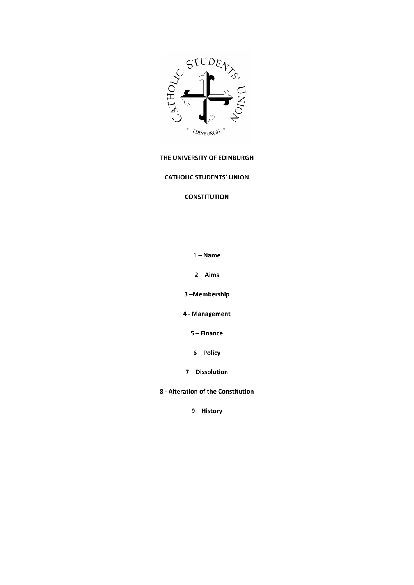

# THE UNIVERSITY OF EDINBURGH

# CATHOLIC STUDENTS' UNION

# **CONSTITUTION**

1 – Name

2 – Aims

3 –Membership

4 - Management

5 – Finance

6 – Policy

7 – Dissolution

8 - Alteration of the Constitution

9 – History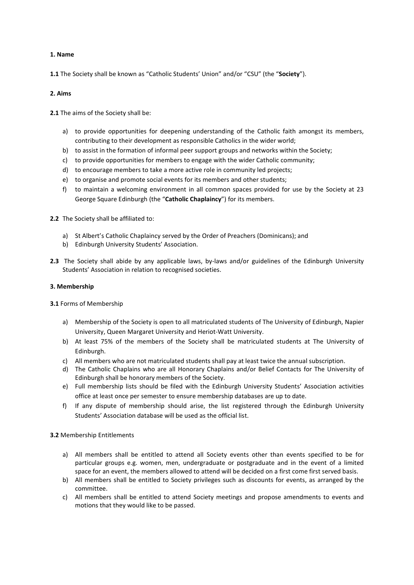## 1. Name

1.1 The Society shall be known as "Catholic Students' Union" and/or "CSU" (the "Society").

## 2. Aims

2.1 The aims of the Society shall be:

- a) to provide opportunities for deepening understanding of the Catholic faith amongst its members, contributing to their development as responsible Catholics in the wider world;
- b) to assist in the formation of informal peer support groups and networks within the Society;
- c) to provide opportunities for members to engage with the wider Catholic community;
- d) to encourage members to take a more active role in community led projects;
- e) to organise and promote social events for its members and other students;
- f) to maintain a welcoming environment in all common spaces provided for use by the Society at 23 George Square Edinburgh (the "Catholic Chaplaincy") for its members.
- 2.2 The Society shall be affiliated to:
	- a) St Albert's Catholic Chaplaincy served by the Order of Preachers (Dominicans); and
	- b) Edinburgh University Students' Association.
- 2.3 The Society shall abide by any applicable laws, by-laws and/or guidelines of the Edinburgh University Students' Association in relation to recognised societies.

#### 3. Membership

3.1 Forms of Membership

- a) Membership of the Society is open to all matriculated students of The University of Edinburgh, Napier University, Queen Margaret University and Heriot-Watt University.
- b) At least 75% of the members of the Society shall be matriculated students at The University of Edinburgh.
- c) All members who are not matriculated students shall pay at least twice the annual subscription.
- d) The Catholic Chaplains who are all Honorary Chaplains and/or Belief Contacts for The University of Edinburgh shall be honorary members of the Society.
- e) Full membership lists should be filed with the Edinburgh University Students' Association activities office at least once per semester to ensure membership databases are up to date.
- f) If any dispute of membership should arise, the list registered through the Edinburgh University Students' Association database will be used as the official list.

#### 3.2 Membership Entitlements

- a) All members shall be entitled to attend all Society events other than events specified to be for particular groups e.g. women, men, undergraduate or postgraduate and in the event of a limited space for an event, the members allowed to attend will be decided on a first come first served basis.
- b) All members shall be entitled to Society privileges such as discounts for events, as arranged by the committee.
- c) All members shall be entitled to attend Society meetings and propose amendments to events and motions that they would like to be passed.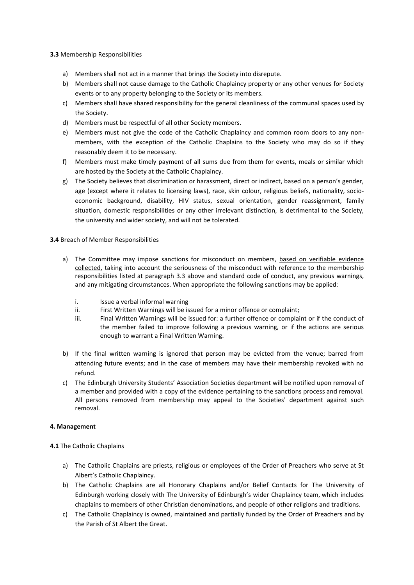#### 3.3 Membership Responsibilities

- a) Members shall not act in a manner that brings the Society into disrepute.
- b) Members shall not cause damage to the Catholic Chaplaincy property or any other venues for Society events or to any property belonging to the Society or its members.
- c) Members shall have shared responsibility for the general cleanliness of the communal spaces used by the Society.
- d) Members must be respectful of all other Society members.
- e) Members must not give the code of the Catholic Chaplaincy and common room doors to any nonmembers, with the exception of the Catholic Chaplains to the Society who may do so if they reasonably deem it to be necessary.
- f) Members must make timely payment of all sums due from them for events, meals or similar which are hosted by the Society at the Catholic Chaplaincy.
- g) The Society believes that discrimination or harassment, direct or indirect, based on a person's gender, age (except where it relates to licensing laws), race, skin colour, religious beliefs, nationality, socioeconomic background, disability, HIV status, sexual orientation, gender reassignment, family situation, domestic responsibilities or any other irrelevant distinction, is detrimental to the Society, the university and wider society, and will not be tolerated.

#### 3.4 Breach of Member Responsibilities

- a) The Committee may impose sanctions for misconduct on members, based on verifiable evidence collected, taking into account the seriousness of the misconduct with reference to the membership responsibilities listed at paragraph 3.3 above and standard code of conduct, any previous warnings, and any mitigating circumstances. When appropriate the following sanctions may be applied:
	- i. Issue a verbal informal warning
	- ii. First Written Warnings will be issued for a minor offence or complaint;
	- iii. Final Written Warnings will be issued for: a further offence or complaint or if the conduct of the member failed to improve following a previous warning, or if the actions are serious enough to warrant a Final Written Warning.
- b) If the final written warning is ignored that person may be evicted from the venue; barred from attending future events; and in the case of members may have their membership revoked with no refund.
- c) The Edinburgh University Students' Association Societies department will be notified upon removal of a member and provided with a copy of the evidence pertaining to the sanctions process and removal. All persons removed from membership may appeal to the Societies' department against such removal.

#### 4. Management

#### 4.1 The Catholic Chaplains

- a) The Catholic Chaplains are priests, religious or employees of the Order of Preachers who serve at St Albert's Catholic Chaplaincy.
- b) The Catholic Chaplains are all Honorary Chaplains and/or Belief Contacts for The University of Edinburgh working closely with The University of Edinburgh's wider Chaplaincy team, which includes chaplains to members of other Christian denominations, and people of other religions and traditions.
- c) The Catholic Chaplaincy is owned, maintained and partially funded by the Order of Preachers and by the Parish of St Albert the Great.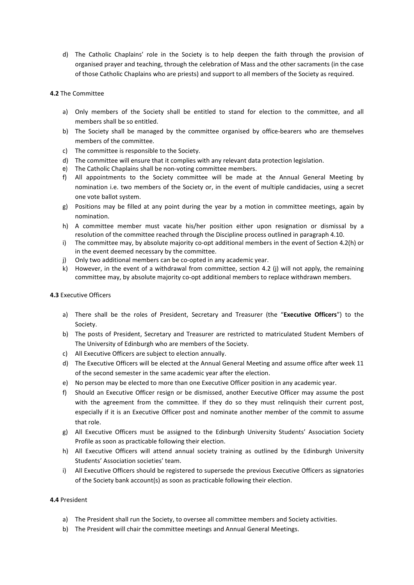d) The Catholic Chaplains' role in the Society is to help deepen the faith through the provision of organised prayer and teaching, through the celebration of Mass and the other sacraments (in the case of those Catholic Chaplains who are priests) and support to all members of the Society as required.

## 4.2 The Committee

- a) Only members of the Society shall be entitled to stand for election to the committee, and all members shall be so entitled.
- b) The Society shall be managed by the committee organised by office-bearers who are themselves members of the committee.
- c) The committee is responsible to the Society.
- d) The committee will ensure that it complies with any relevant data protection legislation.
- e) The Catholic Chaplains shall be non-voting committee members.
- f) All appointments to the Society committee will be made at the Annual General Meeting by nomination i.e. two members of the Society or, in the event of multiple candidacies, using a secret one vote ballot system.
- g) Positions may be filled at any point during the year by a motion in committee meetings, again by nomination.
- h) A committee member must vacate his/her position either upon resignation or dismissal by a resolution of the committee reached through the Discipline process outlined in paragraph 4.10.
- i) The committee may, by absolute majority co-opt additional members in the event of Section 4.2(h) or in the event deemed necessary by the committee.
- j) Only two additional members can be co-opted in any academic year.
- k) However, in the event of a withdrawal from committee, section 4.2 (j) will not apply, the remaining committee may, by absolute majority co-opt additional members to replace withdrawn members.

#### 4.3 Executive Officers

- a) There shall be the roles of President, Secretary and Treasurer (the "Executive Officers") to the Society.
- b) The posts of President, Secretary and Treasurer are restricted to matriculated Student Members of The University of Edinburgh who are members of the Society.
- c) All Executive Officers are subject to election annually.
- d) The Executive Officers will be elected at the Annual General Meeting and assume office after week 11 of the second semester in the same academic year after the election.
- e) No person may be elected to more than one Executive Officer position in any academic year.
- f) Should an Executive Officer resign or be dismissed, another Executive Officer may assume the post with the agreement from the committee. If they do so they must relinquish their current post, especially if it is an Executive Officer post and nominate another member of the commit to assume that role.
- g) All Executive Officers must be assigned to the Edinburgh University Students' Association Society Profile as soon as practicable following their election.
- h) All Executive Officers will attend annual society training as outlined by the Edinburgh University Students' Association societies' team.
- i) All Executive Officers should be registered to supersede the previous Executive Officers as signatories of the Society bank account(s) as soon as practicable following their election.

#### 4.4 President

- a) The President shall run the Society, to oversee all committee members and Society activities.
- b) The President will chair the committee meetings and Annual General Meetings.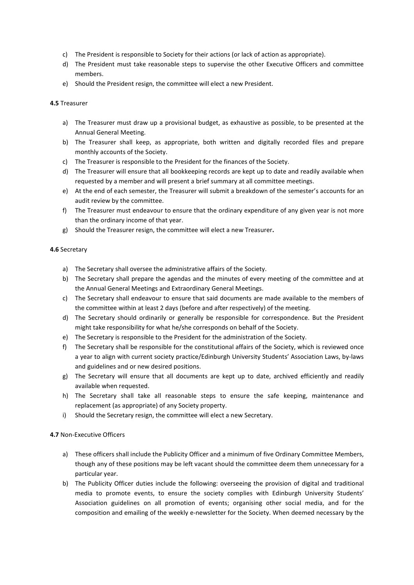- c) The President is responsible to Society for their actions (or lack of action as appropriate).
- d) The President must take reasonable steps to supervise the other Executive Officers and committee members.
- e) Should the President resign, the committee will elect a new President.

#### 4.5 Treasurer

- a) The Treasurer must draw up a provisional budget, as exhaustive as possible, to be presented at the Annual General Meeting.
- b) The Treasurer shall keep, as appropriate, both written and digitally recorded files and prepare monthly accounts of the Society.
- c) The Treasurer is responsible to the President for the finances of the Society.
- d) The Treasurer will ensure that all bookkeeping records are kept up to date and readily available when requested by a member and will present a brief summary at all committee meetings.
- e) At the end of each semester, the Treasurer will submit a breakdown of the semester's accounts for an audit review by the committee.
- f) The Treasurer must endeavour to ensure that the ordinary expenditure of any given year is not more than the ordinary income of that year.
- g) Should the Treasurer resign, the committee will elect a new Treasurer.

#### 4.6 Secretary

- a) The Secretary shall oversee the administrative affairs of the Society.
- b) The Secretary shall prepare the agendas and the minutes of every meeting of the committee and at the Annual General Meetings and Extraordinary General Meetings.
- c) The Secretary shall endeavour to ensure that said documents are made available to the members of the committee within at least 2 days (before and after respectively) of the meeting.
- d) The Secretary should ordinarily or generally be responsible for correspondence. But the President might take responsibility for what he/she corresponds on behalf of the Society.
- e) The Secretary is responsible to the President for the administration of the Society.
- f) The Secretary shall be responsible for the constitutional affairs of the Society, which is reviewed once a year to align with current society practice/Edinburgh University Students' Association Laws, by-laws and guidelines and or new desired positions.
- g) The Secretary will ensure that all documents are kept up to date, archived efficiently and readily available when requested.
- h) The Secretary shall take all reasonable steps to ensure the safe keeping, maintenance and replacement (as appropriate) of any Society property.
- i) Should the Secretary resign, the committee will elect a new Secretary.

#### 4.7 Non-Executive Officers

- a) These officers shall include the Publicity Officer and a minimum of five Ordinary Committee Members, though any of these positions may be left vacant should the committee deem them unnecessary for a particular year.
- b) The Publicity Officer duties include the following: overseeing the provision of digital and traditional media to promote events, to ensure the society complies with Edinburgh University Students' Association guidelines on all promotion of events; organising other social media, and for the composition and emailing of the weekly e-newsletter for the Society. When deemed necessary by the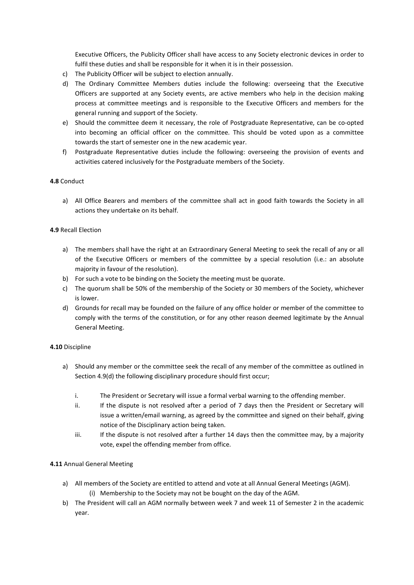Executive Officers, the Publicity Officer shall have access to any Society electronic devices in order to fulfil these duties and shall be responsible for it when it is in their possession.

- c) The Publicity Officer will be subject to election annually.
- d) The Ordinary Committee Members duties include the following: overseeing that the Executive Officers are supported at any Society events, are active members who help in the decision making process at committee meetings and is responsible to the Executive Officers and members for the general running and support of the Society.
- e) Should the committee deem it necessary, the role of Postgraduate Representative, can be co-opted into becoming an official officer on the committee. This should be voted upon as a committee towards the start of semester one in the new academic year.
- f) Postgraduate Representative duties include the following: overseeing the provision of events and activities catered inclusively for the Postgraduate members of the Society.

# 4.8 Conduct

a) All Office Bearers and members of the committee shall act in good faith towards the Society in all actions they undertake on its behalf.

#### 4.9 Recall Election

- a) The members shall have the right at an Extraordinary General Meeting to seek the recall of any or all of the Executive Officers or members of the committee by a special resolution (i.e.: an absolute majority in favour of the resolution).
- b) For such a vote to be binding on the Society the meeting must be quorate.
- c) The quorum shall be 50% of the membership of the Society or 30 members of the Society, whichever is lower.
- d) Grounds for recall may be founded on the failure of any office holder or member of the committee to comply with the terms of the constitution, or for any other reason deemed legitimate by the Annual General Meeting.

#### 4.10 Discipline

- a) Should any member or the committee seek the recall of any member of the committee as outlined in Section 4.9(d) the following disciplinary procedure should first occur;
	- i. The President or Secretary will issue a formal verbal warning to the offending member.
	- ii. If the dispute is not resolved after a period of 7 days then the President or Secretary will issue a written/email warning, as agreed by the committee and signed on their behalf, giving notice of the Disciplinary action being taken.
	- iii. If the dispute is not resolved after a further 14 days then the committee may, by a majority vote, expel the offending member from office.

#### 4.11 Annual General Meeting

- a) All members of the Society are entitled to attend and vote at all Annual General Meetings (AGM).
	- (i) Membership to the Society may not be bought on the day of the AGM.
- b) The President will call an AGM normally between week 7 and week 11 of Semester 2 in the academic year.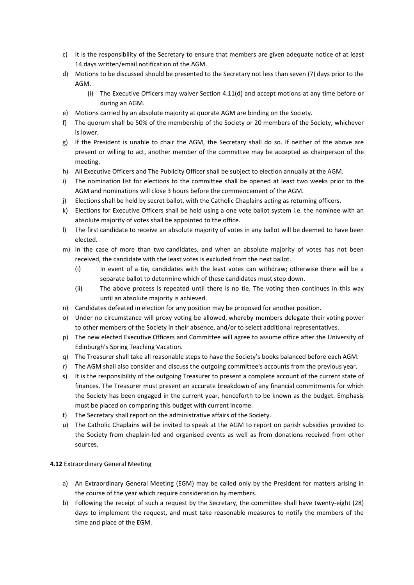- c) It is the responsibility of the Secretary to ensure that members are given adequate notice of at least 14 days written/email notification of the AGM.
- d) Motions to be discussed should be presented to the Secretary not less than seven (7) days prior to the AGM.
	- (i) The Executive Officers may waiver Section 4.11(d) and accept motions at any time before or during an AGM.
- e) Motions carried by an absolute majority at quorate AGM are binding on the Society.
- f) The quorum shall be 50% of the membership of the Society or 20 members of the Society, whichever is lower.
- g) If the President is unable to chair the AGM, the Secretary shall do so. If neither of the above are present or willing to act, another member of the committee may be accepted as chairperson of the meeting.
- h) All Executive Officers and The Publicity Officer shall be subject to election annually at the AGM.
- i) The nomination list for elections to the committee shall be opened at least two weeks prior to the AGM and nominations will close 3 hours before the commencement of the AGM.
- j) Elections shall be held by secret ballot, with the Catholic Chaplains acting as returning officers.
- k) Elections for Executive Officers shall be held using a one vote ballot system i.e. the nominee with an absolute majority of votes shall be appointed to the office.
- l) The first candidate to receive an absolute majority of votes in any ballot will be deemed to have been elected.
- m) In the case of more than two candidates, and when an absolute majority of votes has not been received, the candidate with the least votes is excluded from the next ballot.
	- (i) In event of a tie, candidates with the least votes can withdraw; otherwise there will be a separate ballot to determine which of these candidates must step down.
	- (ii) The above process is repeated until there is no tie. The voting then continues in this way until an absolute majority is achieved.
- n) Candidates defeated in election for any position may be proposed for another position.
- o) Under no circumstance will proxy voting be allowed, whereby members delegate their voting power to other members of the Society in their absence, and/or to select additional representatives.
- p) The new elected Executive Officers and Committee will agree to assume office after the University of Edinburgh's Spring Teaching Vacation.
- q) The Treasurer shall take all reasonable steps to have the Society's books balanced before each AGM.
- r) The AGM shall also consider and discuss the outgoing committee's accounts from the previous year.
- s) It is the responsibility of the outgoing Treasurer to present a complete account of the current state of finances. The Treasurer must present an accurate breakdown of any financial commitments for which the Society has been engaged in the current year, henceforth to be known as the budget. Emphasis must be placed on comparing this budget with current income.
- t) The Secretary shall report on the administrative affairs of the Society.
- u) The Catholic Chaplains will be invited to speak at the AGM to report on parish subsidies provided to the Society from chaplain-led and organised events as well as from donations received from other sources.

#### 4.12 Extraordinary General Meeting

- a) An Extraordinary General Meeting (EGM) may be called only by the President for matters arising in the course of the year which require consideration by members.
- b) Following the receipt of such a request by the Secretary, the committee shall have twenty-eight (28) days to implement the request, and must take reasonable measures to notify the members of the time and place of the EGM.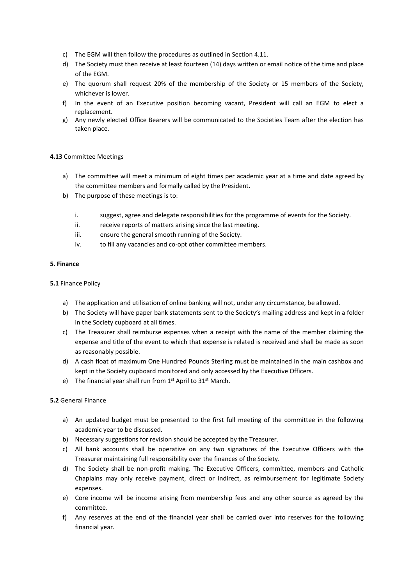- c) The EGM will then follow the procedures as outlined in Section 4.11.
- d) The Society must then receive at least fourteen (14) days written or email notice of the time and place of the EGM.
- e) The quorum shall request 20% of the membership of the Society or 15 members of the Society, whichever is lower.
- f) In the event of an Executive position becoming vacant, President will call an EGM to elect a replacement.
- g) Any newly elected Office Bearers will be communicated to the Societies Team after the election has taken place.

#### 4.13 Committee Meetings

- a) The committee will meet a minimum of eight times per academic year at a time and date agreed by the committee members and formally called by the President.
- b) The purpose of these meetings is to:
	- i. suggest, agree and delegate responsibilities for the programme of events for the Society.
	- ii. receive reports of matters arising since the last meeting.
	- iii. ensure the general smooth running of the Society.
	- iv. to fill any vacancies and co-opt other committee members.

# 5. Finance

#### 5.1 Finance Policy

- a) The application and utilisation of online banking will not, under any circumstance, be allowed.
- b) The Society will have paper bank statements sent to the Society's mailing address and kept in a folder in the Society cupboard at all times.
- c) The Treasurer shall reimburse expenses when a receipt with the name of the member claiming the expense and title of the event to which that expense is related is received and shall be made as soon as reasonably possible.
- d) A cash float of maximum One Hundred Pounds Sterling must be maintained in the main cashbox and kept in the Society cupboard monitored and only accessed by the Executive Officers.
- e) The financial year shall run from  $1<sup>st</sup>$  April to  $31<sup>st</sup>$  March.

#### 5.2 General Finance

- a) An updated budget must be presented to the first full meeting of the committee in the following academic year to be discussed.
- b) Necessary suggestions for revision should be accepted by the Treasurer.
- c) All bank accounts shall be operative on any two signatures of the Executive Officers with the Treasurer maintaining full responsibility over the finances of the Society.
- d) The Society shall be non-profit making. The Executive Officers, committee, members and Catholic Chaplains may only receive payment, direct or indirect, as reimbursement for legitimate Society expenses.
- e) Core income will be income arising from membership fees and any other source as agreed by the committee.
- f) Any reserves at the end of the financial year shall be carried over into reserves for the following financial year.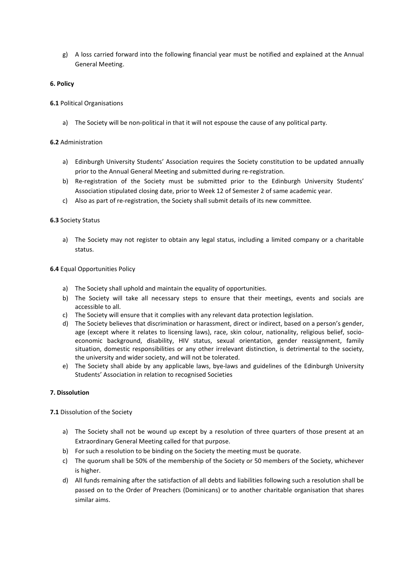g) A loss carried forward into the following financial year must be notified and explained at the Annual General Meeting.

## 6. Policy

## 6.1 Political Organisations

a) The Society will be non-political in that it will not espouse the cause of any political party.

## 6.2 Administration

- a) Edinburgh University Students' Association requires the Society constitution to be updated annually prior to the Annual General Meeting and submitted during re-registration.
- b) Re-registration of the Society must be submitted prior to the Edinburgh University Students' Association stipulated closing date, prior to Week 12 of Semester 2 of same academic year.
- c) Also as part of re-registration, the Society shall submit details of its new committee.

#### 6.3 Society Status

a) The Society may not register to obtain any legal status, including a limited company or a charitable status.

#### 6.4 Equal Opportunities Policy

- a) The Society shall uphold and maintain the equality of opportunities.
- b) The Society will take all necessary steps to ensure that their meetings, events and socials are accessible to all.
- c) The Society will ensure that it complies with any relevant data protection legislation.
- d) The Society believes that discrimination or harassment, direct or indirect, based on a person's gender, age (except where it relates to licensing laws), race, skin colour, nationality, religious belief, socioeconomic background, disability, HIV status, sexual orientation, gender reassignment, family situation, domestic responsibilities or any other irrelevant distinction, is detrimental to the society, the university and wider society, and will not be tolerated.
- e) The Society shall abide by any applicable laws, bye-laws and guidelines of the Edinburgh University Students' Association in relation to recognised Societies

#### 7. Dissolution

7.1 Dissolution of the Society

- a) The Society shall not be wound up except by a resolution of three quarters of those present at an Extraordinary General Meeting called for that purpose.
- b) For such a resolution to be binding on the Society the meeting must be quorate.
- c) The quorum shall be 50% of the membership of the Society or 50 members of the Society, whichever is higher.
- d) All funds remaining after the satisfaction of all debts and liabilities following such a resolution shall be passed on to the Order of Preachers (Dominicans) or to another charitable organisation that shares similar aims.